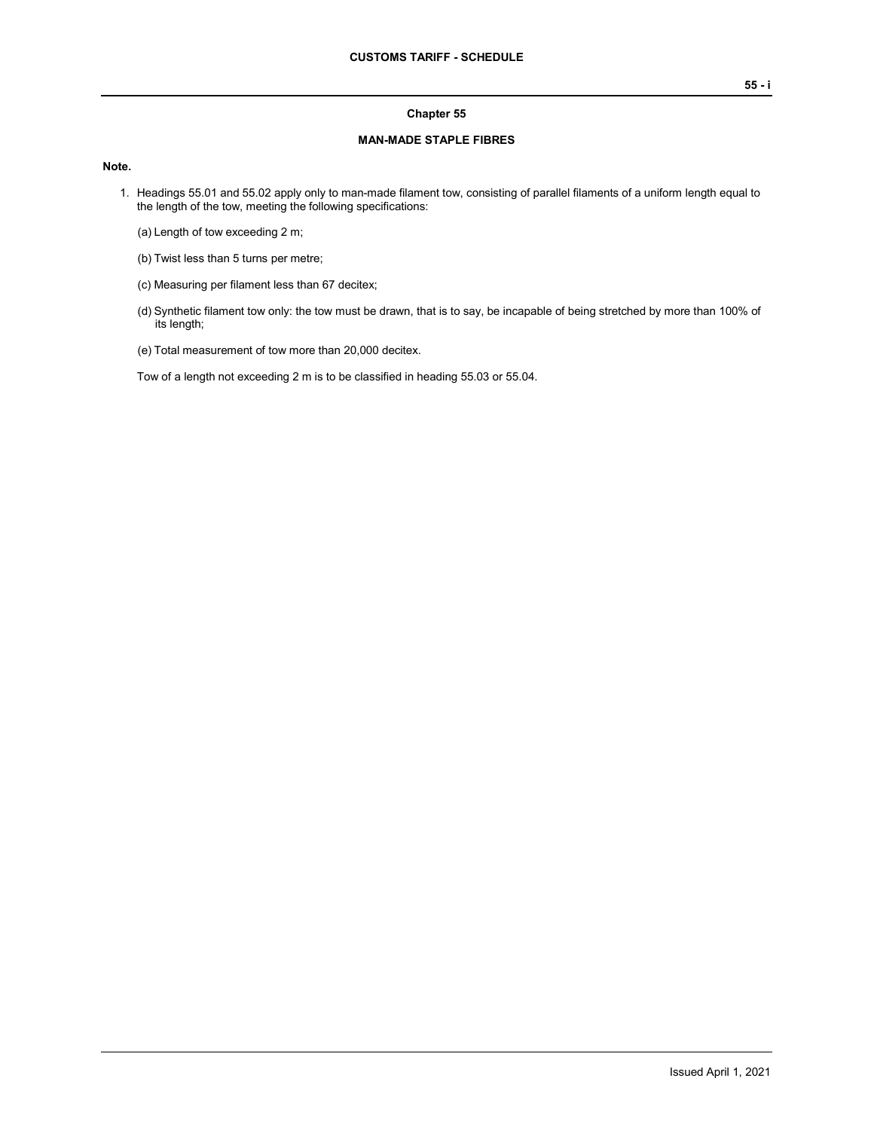#### **Chapter 55**

### **MAN-MADE STAPLE FIBRES**

### **Note.**

- 1. Headings 55.01 and 55.02 apply only to man-made filament tow, consisting of parallel filaments of a uniform length equal to the length of the tow, meeting the following specifications:
	- (a) Length of tow exceeding 2 m;
	- (b) Twist less than 5 turns per metre;
	- (c) Measuring per filament less than 67 decitex;
	- (d) Synthetic filament tow only: the tow must be drawn, that is to say, be incapable of being stretched by more than 100% of its length;
	- (e) Total measurement of tow more than 20,000 decitex.

Tow of a length not exceeding 2 m is to be classified in heading 55.03 or 55.04.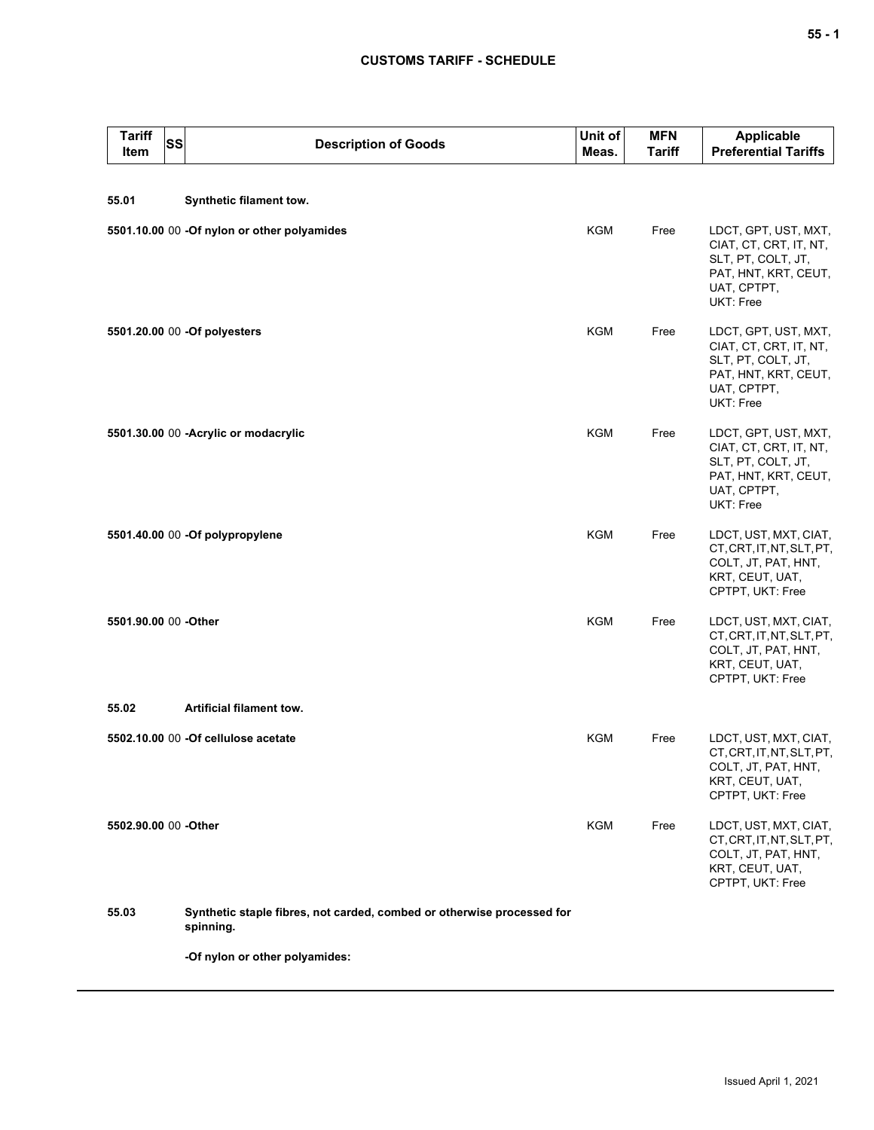| <b>Tariff</b><br>SS<br>Item | <b>Description of Goods</b>                                                         | Unit of<br>Meas. | <b>MFN</b><br>Tariff | Applicable<br><b>Preferential Tariffs</b>                                                                                |
|-----------------------------|-------------------------------------------------------------------------------------|------------------|----------------------|--------------------------------------------------------------------------------------------------------------------------|
| 55.01                       | Synthetic filament tow.                                                             |                  |                      |                                                                                                                          |
|                             | 5501.10.00 00 -Of nylon or other polyamides                                         | <b>KGM</b>       | Free                 | LDCT, GPT, UST, MXT,<br>CIAT, CT, CRT, IT, NT,<br>SLT, PT, COLT, JT,<br>PAT, HNT, KRT, CEUT,<br>UAT, CPTPT,<br>UKT: Free |
|                             | 5501.20.00 00 -Of polyesters                                                        | KGM              | Free                 | LDCT, GPT, UST, MXT,<br>CIAT, CT, CRT, IT, NT,<br>SLT, PT, COLT, JT,<br>PAT, HNT, KRT, CEUT,<br>UAT, CPTPT,<br>UKT: Free |
|                             | 5501.30.00 00 - Acrylic or modacrylic                                               | <b>KGM</b>       | Free                 | LDCT, GPT, UST, MXT,<br>CIAT, CT, CRT, IT, NT,<br>SLT, PT, COLT, JT,<br>PAT, HNT, KRT, CEUT,<br>UAT, CPTPT,<br>UKT: Free |
|                             | 5501.40.00 00 -Of polypropylene                                                     | <b>KGM</b>       | Free                 | LDCT, UST, MXT, CIAT,<br>CT, CRT, IT, NT, SLT, PT,<br>COLT, JT, PAT, HNT,<br>KRT, CEUT, UAT,<br>CPTPT, UKT: Free         |
| 5501.90.00 00 -Other        |                                                                                     | <b>KGM</b>       | Free                 | LDCT, UST, MXT, CIAT,<br>CT, CRT, IT, NT, SLT, PT,<br>COLT, JT, PAT, HNT,<br>KRT, CEUT, UAT,<br>CPTPT, UKT: Free         |
| 55.02                       | Artificial filament tow.                                                            |                  |                      |                                                                                                                          |
|                             | 5502.10.00 00 -Of cellulose acetate                                                 | KGM              | Free                 | LDCT, UST, MXT, CIAT,<br>CT, CRT, IT, NT, SLT, PT,<br>COLT, JT, PAT, HNT,<br>KRT, CEUT, UAT,<br>CPTPT, UKT: Free         |
| 5502.90.00 00 -Other        |                                                                                     | KGM              | Free                 | LDCT, UST, MXT, CIAT,<br>CT, CRT, IT, NT, SLT, PT,<br>COLT, JT, PAT, HNT,<br>KRT, CEUT, UAT,<br>CPTPT, UKT: Free         |
| 55.03                       | Synthetic staple fibres, not carded, combed or otherwise processed for<br>spinning. |                  |                      |                                                                                                                          |
|                             | -Of nylon or other polyamides:                                                      |                  |                      |                                                                                                                          |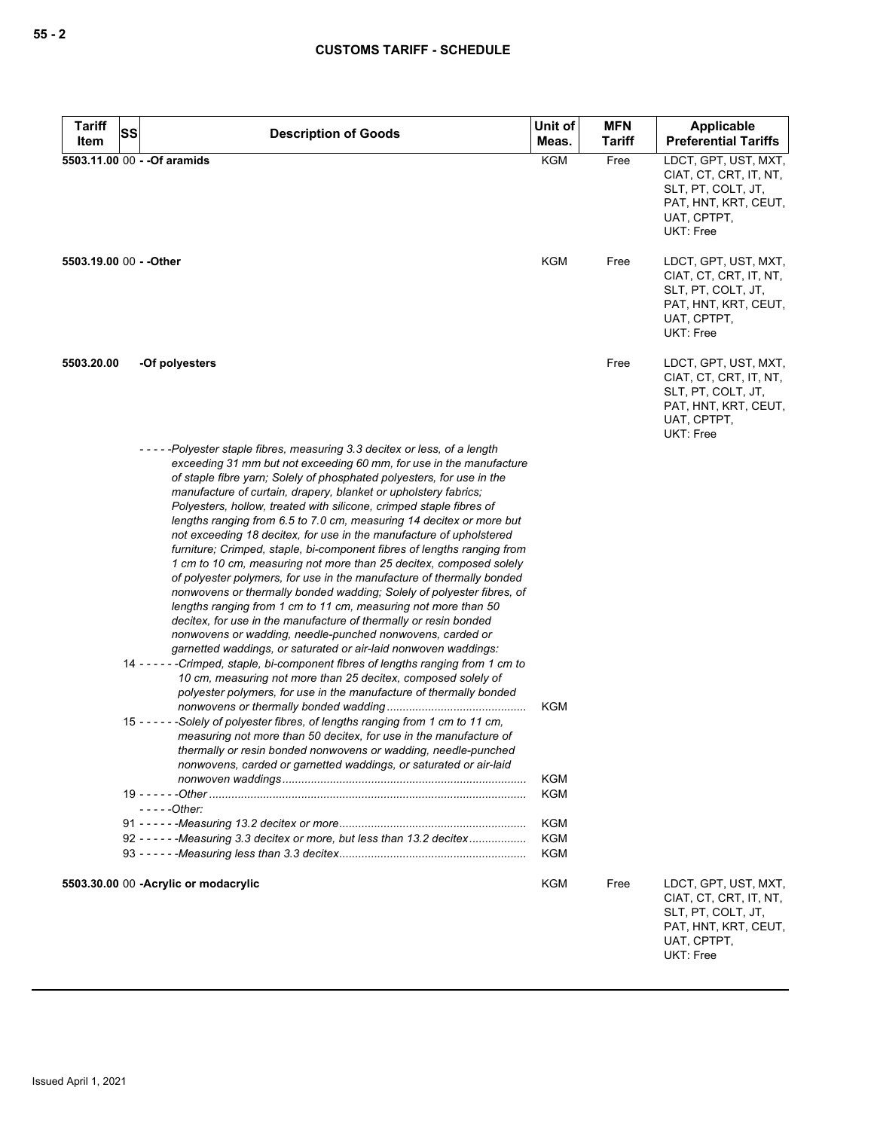| <b>Tariff</b>           | SS | <b>Description of Goods</b>                                                                                                                                                                                                                                                                                                                                                                                                                                                                                                                                                                                                                                                                                                                                                                                                                                                                                                                                                                                                                                                                                                                                                                                                                                                                                                                                                                                                                                                                                                                                                                                                                                                                                              | Unit of                                                            | <b>MFN</b>    | <b>Applicable</b>                                                                                                               |
|-------------------------|----|--------------------------------------------------------------------------------------------------------------------------------------------------------------------------------------------------------------------------------------------------------------------------------------------------------------------------------------------------------------------------------------------------------------------------------------------------------------------------------------------------------------------------------------------------------------------------------------------------------------------------------------------------------------------------------------------------------------------------------------------------------------------------------------------------------------------------------------------------------------------------------------------------------------------------------------------------------------------------------------------------------------------------------------------------------------------------------------------------------------------------------------------------------------------------------------------------------------------------------------------------------------------------------------------------------------------------------------------------------------------------------------------------------------------------------------------------------------------------------------------------------------------------------------------------------------------------------------------------------------------------------------------------------------------------------------------------------------------------|--------------------------------------------------------------------|---------------|---------------------------------------------------------------------------------------------------------------------------------|
| Item                    |    |                                                                                                                                                                                                                                                                                                                                                                                                                                                                                                                                                                                                                                                                                                                                                                                                                                                                                                                                                                                                                                                                                                                                                                                                                                                                                                                                                                                                                                                                                                                                                                                                                                                                                                                          | Meas.                                                              | <b>Tariff</b> | <b>Preferential Tariffs</b>                                                                                                     |
|                         |    | 5503.11.00 00 - - Of aramids                                                                                                                                                                                                                                                                                                                                                                                                                                                                                                                                                                                                                                                                                                                                                                                                                                                                                                                                                                                                                                                                                                                                                                                                                                                                                                                                                                                                                                                                                                                                                                                                                                                                                             | <b>KGM</b>                                                         | Free          | LDCT, GPT, UST, MXT,<br>CIAT, CT, CRT, IT, NT,<br>SLT, PT, COLT, JT,<br>PAT, HNT, KRT, CEUT,<br>UAT, CPTPT,<br><b>UKT: Free</b> |
| 5503.19.00 00 - - Other |    |                                                                                                                                                                                                                                                                                                                                                                                                                                                                                                                                                                                                                                                                                                                                                                                                                                                                                                                                                                                                                                                                                                                                                                                                                                                                                                                                                                                                                                                                                                                                                                                                                                                                                                                          | <b>KGM</b>                                                         | Free          | LDCT, GPT, UST, MXT,<br>CIAT, CT, CRT, IT, NT,<br>SLT, PT, COLT, JT,<br>PAT, HNT, KRT, CEUT,<br>UAT, CPTPT,<br><b>UKT: Free</b> |
| 5503.20.00              |    | -Of polyesters                                                                                                                                                                                                                                                                                                                                                                                                                                                                                                                                                                                                                                                                                                                                                                                                                                                                                                                                                                                                                                                                                                                                                                                                                                                                                                                                                                                                                                                                                                                                                                                                                                                                                                           |                                                                    | Free          | LDCT, GPT, UST, MXT,<br>CIAT, CT, CRT, IT, NT,<br>SLT, PT, COLT, JT,<br>PAT, HNT, KRT, CEUT,<br>UAT, CPTPT,<br>UKT: Free        |
|                         |    | -----Polyester staple fibres, measuring 3.3 decitex or less, of a length<br>exceeding 31 mm but not exceeding 60 mm, for use in the manufacture<br>of staple fibre yarn; Solely of phosphated polyesters, for use in the<br>manufacture of curtain, drapery, blanket or upholstery fabrics;<br>Polyesters, hollow, treated with silicone, crimped staple fibres of<br>lengths ranging from 6.5 to 7.0 cm, measuring 14 decitex or more but<br>not exceeding 18 decitex, for use in the manufacture of upholstered<br>furniture; Crimped, staple, bi-component fibres of lengths ranging from<br>1 cm to 10 cm, measuring not more than 25 decitex, composed solely<br>of polyester polymers, for use in the manufacture of thermally bonded<br>nonwovens or thermally bonded wadding; Solely of polyester fibres, of<br>lengths ranging from 1 cm to 11 cm, measuring not more than 50<br>decitex, for use in the manufacture of thermally or resin bonded<br>nonwovens or wadding, needle-punched nonwovens, carded or<br>garnetted waddings, or saturated or air-laid nonwoven waddings:<br>14 - - - - - - Crimped, staple, bi-component fibres of lengths ranging from 1 cm to<br>10 cm, measuring not more than 25 decitex, composed solely of<br>polyester polymers, for use in the manufacture of thermally bonded<br>-Solely of polyester fibres, of lengths ranging from 1 cm to 11 cm,<br>$15 - - -$<br>measuring not more than 50 decitex, for use in the manufacture of<br>thermally or resin bonded nonwovens or wadding, needle-punched<br>nonwovens, carded or garnetted waddings, or saturated or air-laid<br>- - - - -Other:<br>92 - - - - - - Measuring 3.3 decitex or more, but less than 13.2 decitex | KGM<br><b>KGM</b><br><b>KGM</b><br><b>KGM</b><br><b>KGM</b><br>KGM |               |                                                                                                                                 |
|                         |    | 5503.30.00 00 - Acrylic or modacrylic                                                                                                                                                                                                                                                                                                                                                                                                                                                                                                                                                                                                                                                                                                                                                                                                                                                                                                                                                                                                                                                                                                                                                                                                                                                                                                                                                                                                                                                                                                                                                                                                                                                                                    | <b>KGM</b>                                                         | Free          | LDCT, GPT, UST, MXT,<br>CIAT, CT, CRT, IT, NT,                                                                                  |

SLT, PT, COLT, JT, PAT, HNT, KRT, CEUT,

UAT, CPTPT, UKT: Free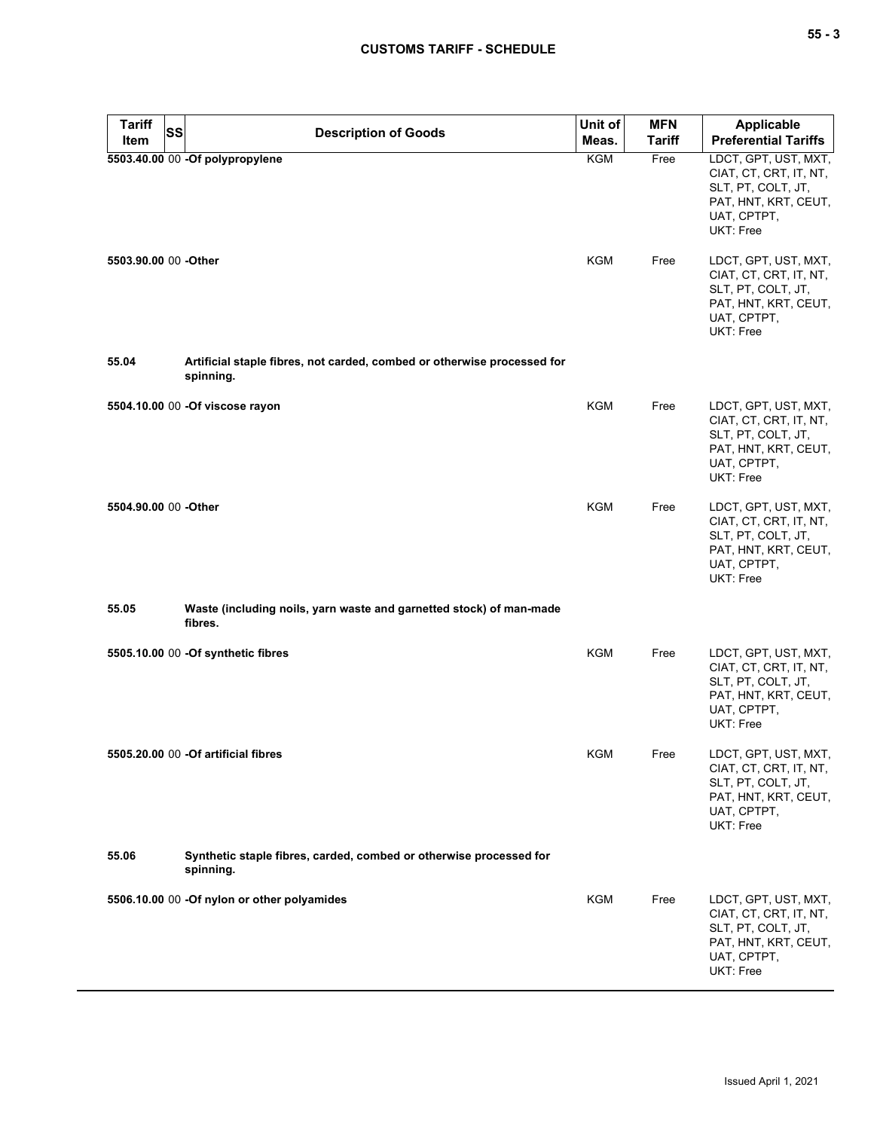| <b>Tariff</b><br>Item | <b>SS</b><br><b>Description of Goods</b>                                             | Unit of<br>Meas. | <b>MFN</b><br><b>Tariff</b> | Applicable<br><b>Preferential Tariffs</b>                                                                                |
|-----------------------|--------------------------------------------------------------------------------------|------------------|-----------------------------|--------------------------------------------------------------------------------------------------------------------------|
|                       | 5503.40.00 00 -Of polypropylene                                                      | <b>KGM</b>       | Free                        | LDCT, GPT, UST, MXT,<br>CIAT, CT, CRT, IT, NT,<br>SLT, PT, COLT, JT,<br>PAT, HNT, KRT, CEUT,<br>UAT, CPTPT,<br>UKT: Free |
| 5503.90.00 00 -Other  |                                                                                      | <b>KGM</b>       | Free                        | LDCT, GPT, UST, MXT,<br>CIAT, CT, CRT, IT, NT,<br>SLT, PT, COLT, JT,<br>PAT, HNT, KRT, CEUT,<br>UAT, CPTPT,<br>UKT: Free |
| 55.04                 | Artificial staple fibres, not carded, combed or otherwise processed for<br>spinning. |                  |                             |                                                                                                                          |
|                       | 5504.10.00 00 - Of viscose rayon                                                     | <b>KGM</b>       | Free                        | LDCT, GPT, UST, MXT,<br>CIAT, CT, CRT, IT, NT,<br>SLT, PT, COLT, JT,<br>PAT, HNT, KRT, CEUT,<br>UAT, CPTPT,<br>UKT: Free |
| 5504.90.00 00 -Other  |                                                                                      | <b>KGM</b>       | Free                        | LDCT, GPT, UST, MXT,<br>CIAT, CT, CRT, IT, NT,<br>SLT, PT, COLT, JT,<br>PAT, HNT, KRT, CEUT,<br>UAT, CPTPT,<br>UKT: Free |
| 55.05                 | Waste (including noils, yarn waste and garnetted stock) of man-made<br>fibres.       |                  |                             |                                                                                                                          |
|                       | 5505.10.00 00 -Of synthetic fibres                                                   | <b>KGM</b>       | Free                        | LDCT, GPT, UST, MXT,<br>CIAT, CT, CRT, IT, NT,<br>SLT, PT, COLT, JT,<br>PAT, HNT, KRT, CEUT,<br>UAT, CPTPT,<br>UKT: Free |
|                       | 5505,20.00 00 - Of artificial fibres                                                 | KGM              | Free                        | LDCT, GPT, UST, MXT,<br>CIAT, CT, CRT, IT, NT,<br>SLT, PT, COLT, JT,<br>PAT, HNT, KRT, CEUT,<br>UAT, CPTPT,<br>UKT: Free |
| 55.06                 | Synthetic staple fibres, carded, combed or otherwise processed for<br>spinning.      |                  |                             |                                                                                                                          |
|                       | 5506.10.00 00 -Of nylon or other polyamides                                          | <b>KGM</b>       | Free                        | LDCT, GPT, UST, MXT,<br>CIAT, CT, CRT, IT, NT,<br>SLT, PT, COLT, JT,<br>PAT, HNT, KRT, CEUT,<br>UAT, CPTPT,<br>UKT: Free |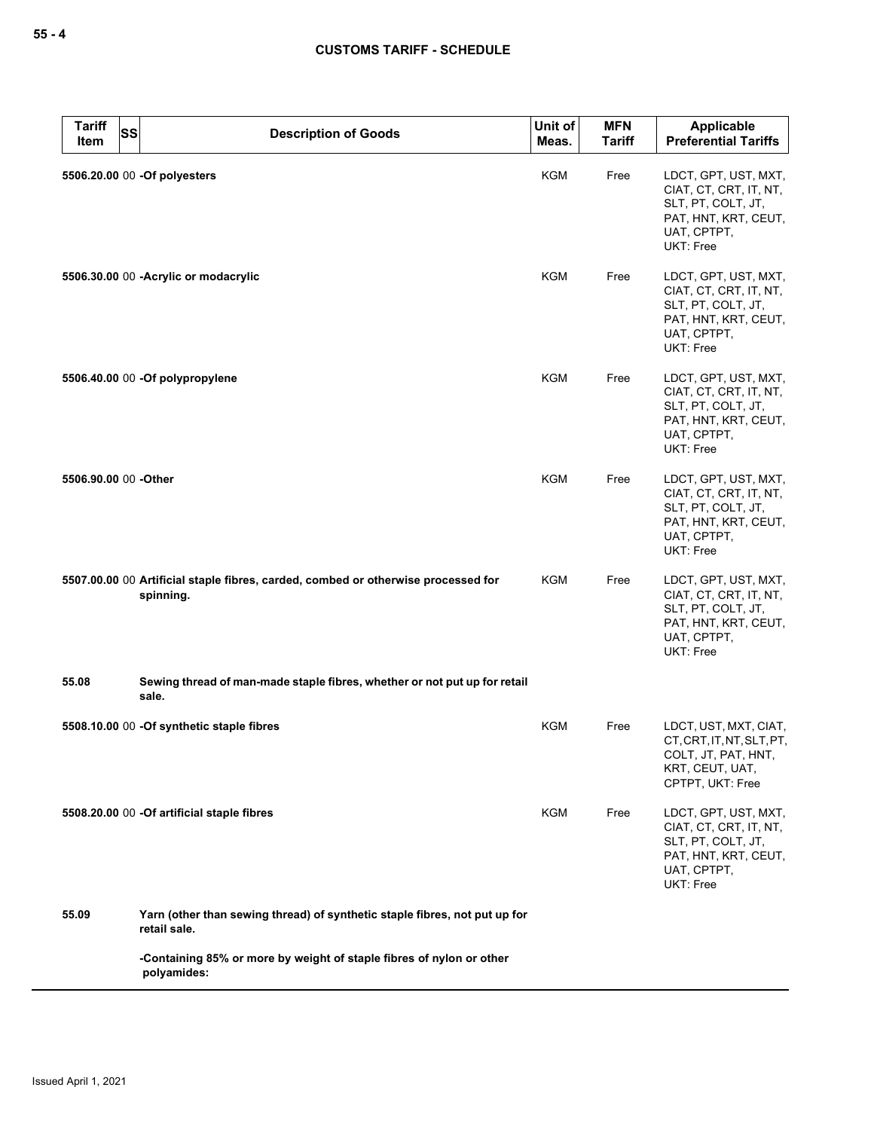| <b>Tariff</b><br><b>SS</b><br>Item | <b>Description of Goods</b>                                                                    | Unit of<br>Meas. | <b>MFN</b><br><b>Tariff</b> | Applicable<br><b>Preferential Tariffs</b>                                                                                |
|------------------------------------|------------------------------------------------------------------------------------------------|------------------|-----------------------------|--------------------------------------------------------------------------------------------------------------------------|
|                                    | 5506.20.00 00 -Of polyesters                                                                   | <b>KGM</b>       | Free                        | LDCT, GPT, UST, MXT,<br>CIAT, CT, CRT, IT, NT,<br>SLT, PT, COLT, JT,<br>PAT, HNT, KRT, CEUT,<br>UAT, CPTPT,<br>UKT: Free |
|                                    | 5506.30.00 00 - Acrylic or modacrylic                                                          | <b>KGM</b>       | Free                        | LDCT, GPT, UST, MXT,<br>CIAT, CT, CRT, IT, NT,<br>SLT, PT, COLT, JT,<br>PAT, HNT, KRT, CEUT,<br>UAT, CPTPT,<br>UKT: Free |
|                                    | 5506.40.00 00 -Of polypropylene                                                                | <b>KGM</b>       | Free                        | LDCT, GPT, UST, MXT,<br>CIAT, CT, CRT, IT, NT,<br>SLT, PT, COLT, JT,<br>PAT, HNT, KRT, CEUT,<br>UAT, CPTPT,<br>UKT: Free |
| 5506.90.00 00 -Other               |                                                                                                | <b>KGM</b>       | Free                        | LDCT, GPT, UST, MXT,<br>CIAT, CT, CRT, IT, NT,<br>SLT, PT, COLT, JT,<br>PAT, HNT, KRT, CEUT,<br>UAT, CPTPT,<br>UKT: Free |
|                                    | 5507.00.00 00 Artificial staple fibres, carded, combed or otherwise processed for<br>spinning. | <b>KGM</b>       | Free                        | LDCT, GPT, UST, MXT,<br>CIAT, CT, CRT, IT, NT,<br>SLT, PT, COLT, JT,<br>PAT, HNT, KRT, CEUT,<br>UAT, CPTPT,<br>UKT: Free |
| 55.08                              | Sewing thread of man-made staple fibres, whether or not put up for retail<br>sale.             |                  |                             |                                                                                                                          |
|                                    | 5508.10.00 00 -Of synthetic staple fibres                                                      | KGM              | Free                        | LDCT, UST, MXT, CIAT,<br>CT, CRT, IT, NT, SLT, PT,<br>COLT, JT, PAT, HNT,<br>KRT, CEUT, UAT,<br>CPTPT, UKT: Free         |
|                                    | 5508.20.00 00 -Of artificial staple fibres                                                     | KGM              | Free                        | LDCT, GPT, UST, MXT,<br>CIAT, CT, CRT, IT, NT,<br>SLT, PT, COLT, JT,<br>PAT, HNT, KRT, CEUT,<br>UAT, CPTPT,<br>UKT: Free |
| 55.09                              | Yarn (other than sewing thread) of synthetic staple fibres, not put up for<br>retail sale.     |                  |                             |                                                                                                                          |
|                                    | -Containing 85% or more by weight of staple fibres of nylon or other<br>polyamides:            |                  |                             |                                                                                                                          |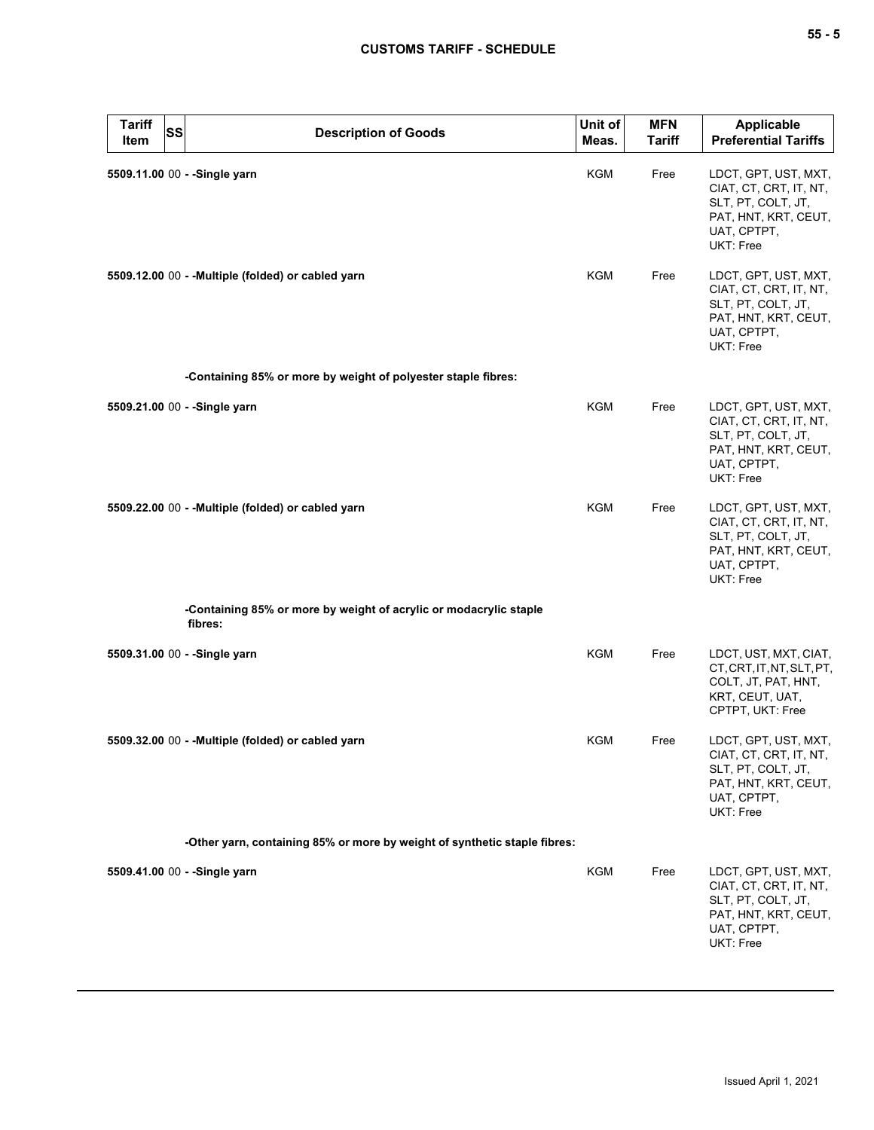| <b>Tariff</b><br>Item | <b>SS</b><br><b>Description of Goods</b>                                     | Unit of<br>Meas. | <b>MFN</b><br>Tariff | Applicable<br><b>Preferential Tariffs</b>                                                                                |
|-----------------------|------------------------------------------------------------------------------|------------------|----------------------|--------------------------------------------------------------------------------------------------------------------------|
|                       | 5509.11.00 00 - - Single yarn                                                | KGM              | Free                 | LDCT, GPT, UST, MXT,<br>CIAT, CT, CRT, IT, NT,<br>SLT, PT, COLT, JT,<br>PAT, HNT, KRT, CEUT,<br>UAT, CPTPT,<br>UKT: Free |
|                       | 5509.12.00 00 - - Multiple (folded) or cabled yarn                           | KGM              | Free                 | LDCT, GPT, UST, MXT,<br>CIAT, CT, CRT, IT, NT,<br>SLT, PT, COLT, JT,<br>PAT, HNT, KRT, CEUT,<br>UAT, CPTPT,<br>UKT: Free |
|                       | -Containing 85% or more by weight of polyester staple fibres:                |                  |                      |                                                                                                                          |
|                       | 5509.21.00 00 - - Single yarn                                                | <b>KGM</b>       | Free                 | LDCT, GPT, UST, MXT,<br>CIAT, CT, CRT, IT, NT,<br>SLT, PT, COLT, JT,<br>PAT, HNT, KRT, CEUT,<br>UAT, CPTPT,<br>UKT: Free |
|                       | 5509.22.00 00 - - Multiple (folded) or cabled yarn                           | <b>KGM</b>       | Free                 | LDCT, GPT, UST, MXT,<br>CIAT, CT, CRT, IT, NT,<br>SLT, PT, COLT, JT,<br>PAT, HNT, KRT, CEUT,<br>UAT, CPTPT,<br>UKT: Free |
|                       | -Containing 85% or more by weight of acrylic or modacrylic staple<br>fibres: |                  |                      |                                                                                                                          |
|                       | 5509.31.00 00 - - Single yarn                                                | <b>KGM</b>       | Free                 | LDCT, UST, MXT, CIAT,<br>CT, CRT, IT, NT, SLT, PT,<br>COLT, JT, PAT, HNT,<br>KRT, CEUT, UAT,<br>CPTPT, UKT: Free         |
|                       | 5509.32.00 00 - - Multiple (folded) or cabled yarn                           | KGM              | Free                 | LDCT, GPT, UST, MXT,<br>CIAT, CT, CRT, IT, NT,<br>SLT, PT, COLT, JT,<br>PAT, HNT, KRT, CEUT,<br>UAT, CPTPT,<br>UKT: Free |
|                       | -Other yarn, containing 85% or more by weight of synthetic staple fibres:    |                  |                      |                                                                                                                          |
|                       | 5509.41.00 00 - - Single yarn                                                | KGM              | Free                 | LDCT, GPT, UST, MXT,<br>CIAT, CT, CRT, IT, NT,<br>SLT, PT, COLT, JT,<br>PAT, HNT, KRT, CEUT,<br>UAT, CPTPT,<br>UKT: Free |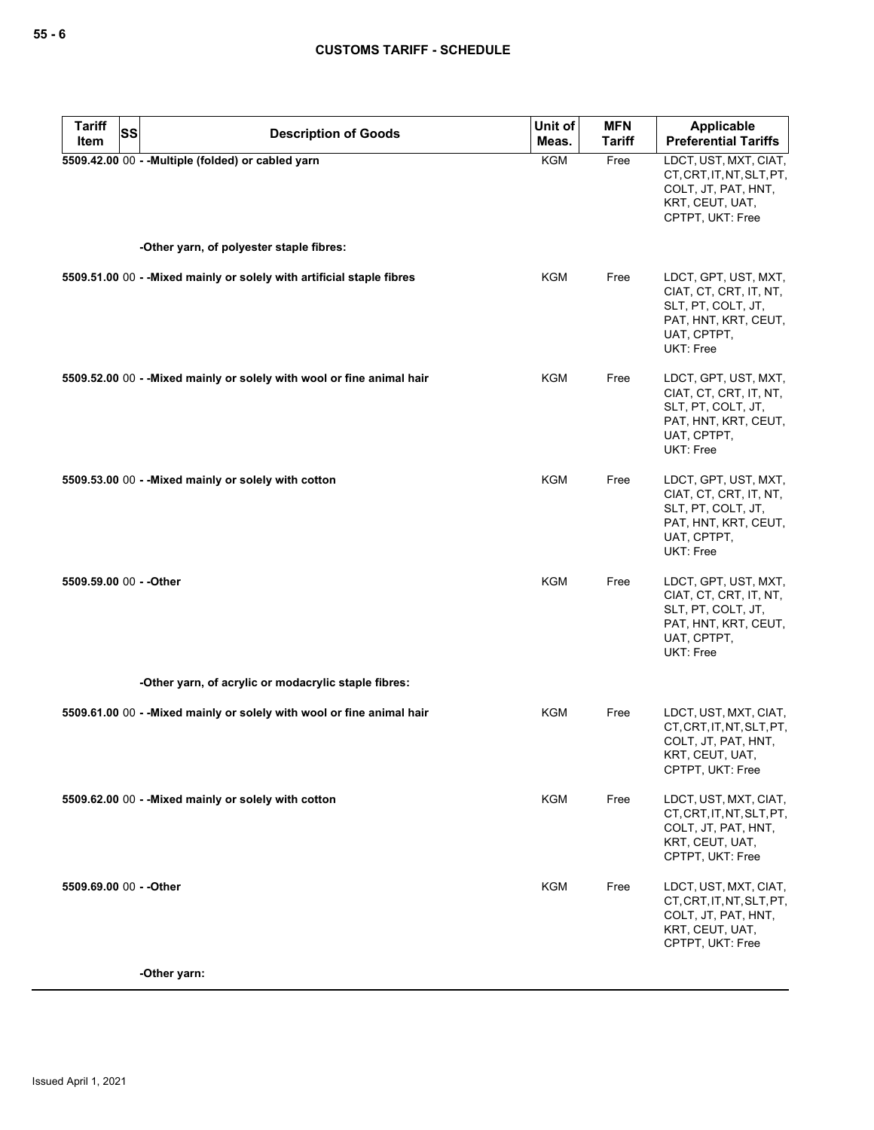| <b>Tariff</b><br>SS<br>Item | <b>Description of Goods</b>                                            | Unit of<br>Meas. | <b>MFN</b><br><b>Tariff</b> | Applicable<br><b>Preferential Tariffs</b>                                                                                |
|-----------------------------|------------------------------------------------------------------------|------------------|-----------------------------|--------------------------------------------------------------------------------------------------------------------------|
|                             | 5509.42.00 00 - - Multiple (folded) or cabled yarn                     | KGM              | Free                        | LDCT, UST, MXT, CIAT,<br>CT, CRT, IT, NT, SLT, PT,<br>COLT, JT, PAT, HNT,<br>KRT, CEUT, UAT,<br>CPTPT, UKT: Free         |
|                             | -Other yarn, of polyester staple fibres:                               |                  |                             |                                                                                                                          |
|                             | 5509.51.00 00 - - Mixed mainly or solely with artificial staple fibres | KGM              | Free                        | LDCT, GPT, UST, MXT,<br>CIAT, CT, CRT, IT, NT,<br>SLT, PT, COLT, JT,<br>PAT, HNT, KRT, CEUT,<br>UAT, CPTPT,<br>UKT: Free |
|                             | 5509.52.00 00 - - Mixed mainly or solely with wool or fine animal hair | KGM              | Free                        | LDCT, GPT, UST, MXT,<br>CIAT, CT, CRT, IT, NT,<br>SLT, PT, COLT, JT,<br>PAT, HNT, KRT, CEUT,<br>UAT, CPTPT,<br>UKT: Free |
|                             | 5509.53.00 00 - - Mixed mainly or solely with cotton                   | KGM              | Free                        | LDCT, GPT, UST, MXT,<br>CIAT, CT, CRT, IT, NT,<br>SLT, PT, COLT, JT,<br>PAT, HNT, KRT, CEUT,<br>UAT, CPTPT,<br>UKT: Free |
| 5509.59.00 00 - - Other     |                                                                        | <b>KGM</b>       | Free                        | LDCT, GPT, UST, MXT,<br>CIAT, CT, CRT, IT, NT,<br>SLT, PT, COLT, JT,<br>PAT, HNT, KRT, CEUT,<br>UAT, CPTPT,<br>UKT: Free |
|                             | -Other yarn, of acrylic or modacrylic staple fibres:                   |                  |                             |                                                                                                                          |
|                             | 5509.61.00 00 - - Mixed mainly or solely with wool or fine animal hair | KGM              | Free                        | LDCT, UST, MXT, CIAT,<br>CT, CRT, IT, NT, SLT, PT,<br>COLT, JT, PAT, HNT,<br>KRT, CEUT, UAT,<br>CPTPT, UKT: Free         |
|                             | 5509.62.00 00 - - Mixed mainly or solely with cotton                   | <b>KGM</b>       | Free                        | LDCT, UST, MXT, CIAT,<br>CT, CRT, IT, NT, SLT, PT,<br>COLT, JT, PAT, HNT,<br>KRT, CEUT, UAT,<br>CPTPT, UKT: Free         |
| 5509.69.00 00 - - Other     |                                                                        | KGM              | Free                        | LDCT, UST, MXT, CIAT,<br>CT, CRT, IT, NT, SLT, PT,<br>COLT, JT, PAT, HNT,<br>KRT, CEUT, UAT,<br>CPTPT, UKT: Free         |
|                             | -Other yarn:                                                           |                  |                             |                                                                                                                          |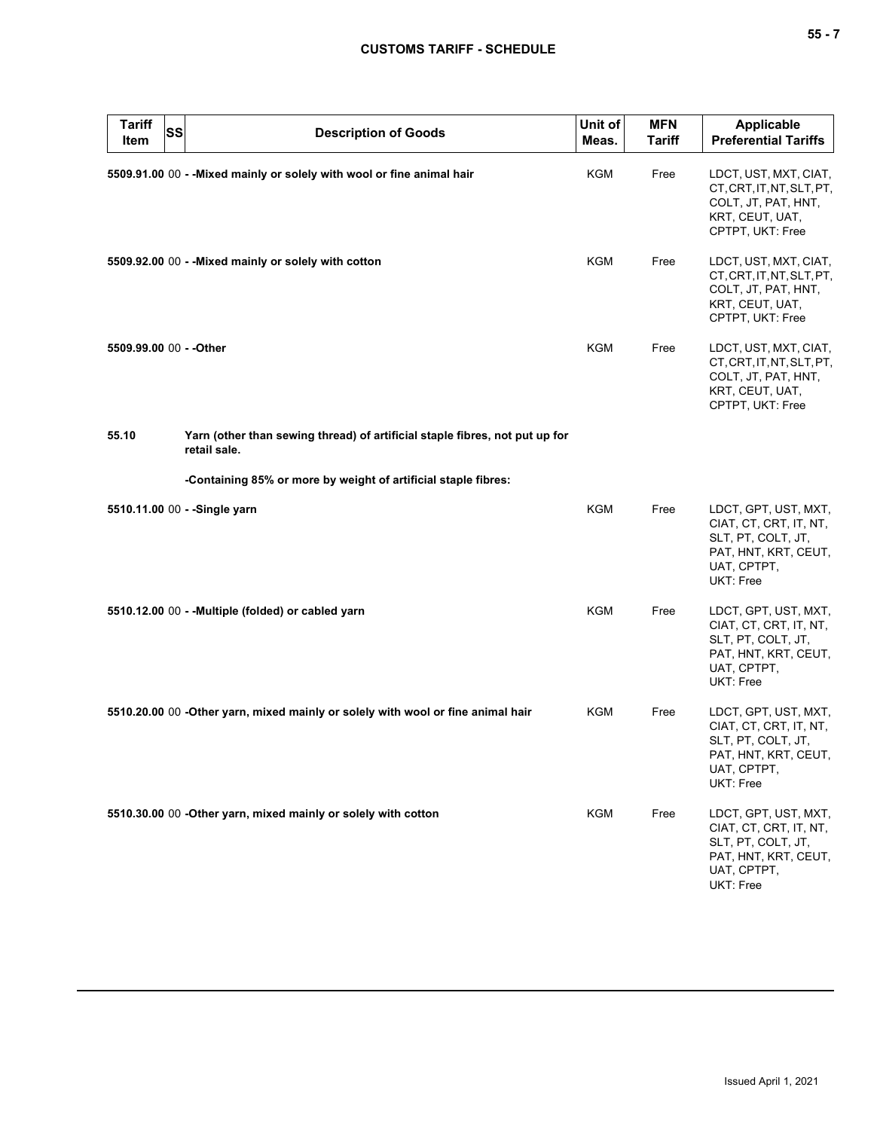| ۰.<br>×<br>× |  |  |
|--------------|--|--|
|--------------|--|--|

| <b>Tariff</b><br>Item   | SS | <b>Description of Goods</b>                                                                 | Unit of<br>Meas. | <b>MFN</b><br>Tariff | <b>Applicable</b><br><b>Preferential Tariffs</b>                                                                         |
|-------------------------|----|---------------------------------------------------------------------------------------------|------------------|----------------------|--------------------------------------------------------------------------------------------------------------------------|
|                         |    | 5509.91.00 00 - - Mixed mainly or solely with wool or fine animal hair                      | KGM              | Free                 | LDCT, UST, MXT, CIAT,<br>CT, CRT, IT, NT, SLT, PT,<br>COLT, JT, PAT, HNT,<br>KRT, CEUT, UAT,<br>CPTPT, UKT: Free         |
|                         |    | 5509.92.00 00 - - Mixed mainly or solely with cotton                                        | <b>KGM</b>       | Free                 | LDCT, UST, MXT, CIAT,<br>CT, CRT, IT, NT, SLT, PT,<br>COLT, JT, PAT, HNT,<br>KRT, CEUT, UAT,<br>CPTPT, UKT: Free         |
| 5509.99.00 00 - - Other |    |                                                                                             | <b>KGM</b>       | Free                 | LDCT, UST, MXT, CIAT,<br>CT, CRT, IT, NT, SLT, PT,<br>COLT, JT, PAT, HNT,<br>KRT, CEUT, UAT,<br>CPTPT, UKT: Free         |
| 55.10                   |    | Yarn (other than sewing thread) of artificial staple fibres, not put up for<br>retail sale. |                  |                      |                                                                                                                          |
|                         |    | -Containing 85% or more by weight of artificial staple fibres:                              |                  |                      |                                                                                                                          |
|                         |    | 5510.11.00 00 - - Single yarn                                                               | <b>KGM</b>       | Free                 | LDCT, GPT, UST, MXT,<br>CIAT, CT, CRT, IT, NT,<br>SLT, PT, COLT, JT,<br>PAT, HNT, KRT, CEUT,<br>UAT, CPTPT,<br>UKT: Free |
|                         |    | 5510.12.00 00 - - Multiple (folded) or cabled yarn                                          | <b>KGM</b>       | Free                 | LDCT, GPT, UST, MXT,<br>CIAT, CT, CRT, IT, NT,<br>SLT, PT, COLT, JT,<br>PAT, HNT, KRT, CEUT,<br>UAT, CPTPT,<br>UKT: Free |
|                         |    | 5510.20.00 00 -Other yarn, mixed mainly or solely with wool or fine animal hair             | <b>KGM</b>       | Free                 | LDCT, GPT, UST, MXT,<br>CIAT, CT, CRT, IT, NT,<br>SLT, PT, COLT, JT,<br>PAI, HNI, KRI, CEUI,<br>UAT, CPTPT,<br>UKT: Free |
|                         |    | 5510.30.00 00 - Other yarn, mixed mainly or solely with cotton                              | KGM              | Free                 | LDCT, GPT, UST, MXT,<br>CIAT, CT, CRT, IT, NT,<br>SLT, PT, COLT, JT,<br>PAT, HNT, KRT, CEUT,<br>UAT, CPTPT,<br>UKT: Free |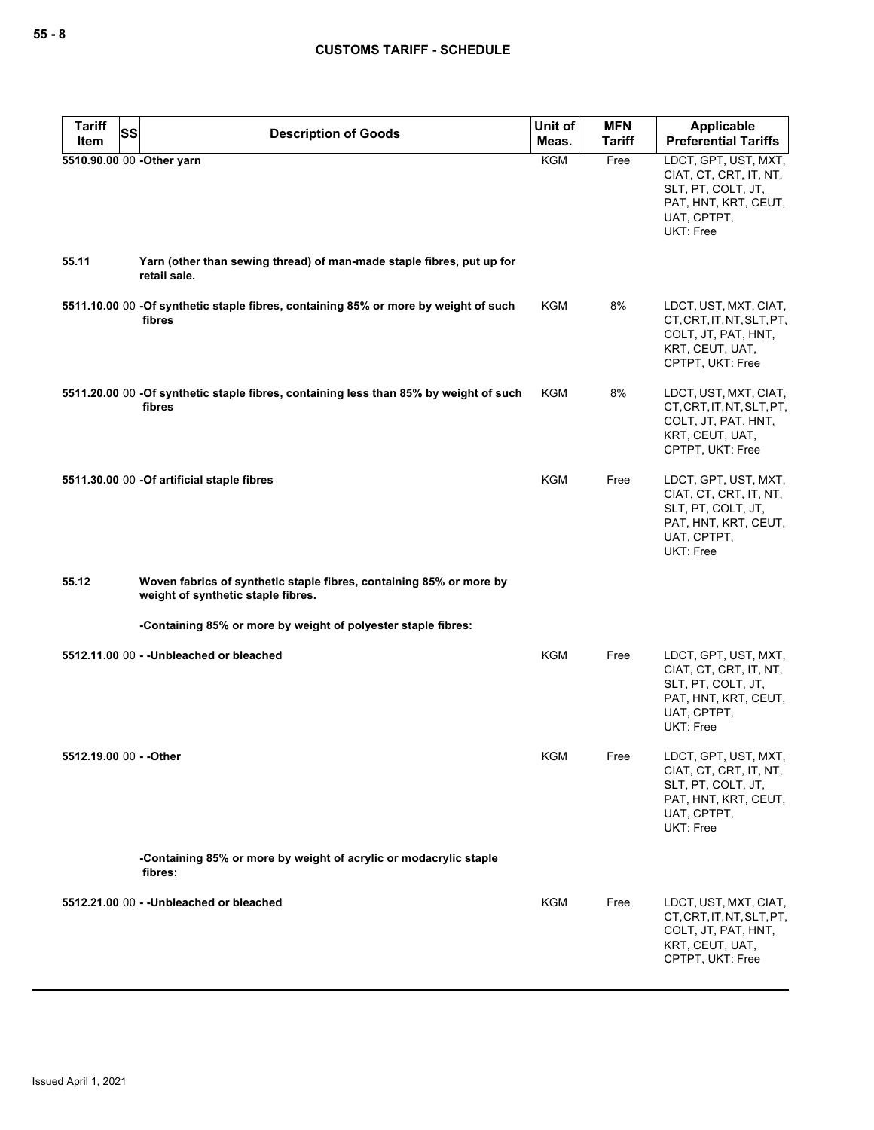| <b>Tariff</b><br><b>SS</b><br>Item | <b>Description of Goods</b>                                                                               | Unit of<br>Meas. | <b>MFN</b><br><b>Tariff</b> | <b>Applicable</b><br><b>Preferential Tariffs</b>                                                                         |
|------------------------------------|-----------------------------------------------------------------------------------------------------------|------------------|-----------------------------|--------------------------------------------------------------------------------------------------------------------------|
| 5510.90.00 00 -Other yarn          |                                                                                                           | <b>KGM</b>       | Free                        | LDCT, GPT, UST, MXT,<br>CIAT, CT, CRT, IT, NT,<br>SLT, PT, COLT, JT,<br>PAT, HNT, KRT, CEUT,<br>UAT, CPTPT,<br>UKT: Free |
| 55.11                              | Yarn (other than sewing thread) of man-made staple fibres, put up for<br>retail sale.                     |                  |                             |                                                                                                                          |
|                                    | 5511.10.00 00 -Of synthetic staple fibres, containing 85% or more by weight of such<br>fibres             | <b>KGM</b>       | 8%                          | LDCT, UST, MXT, CIAT,<br>CT, CRT, IT, NT, SLT, PT,<br>COLT, JT, PAT, HNT,<br>KRT, CEUT, UAT,<br>CPTPT, UKT: Free         |
|                                    | 5511.20.00 00 -Of synthetic staple fibres, containing less than 85% by weight of such<br>fibres           | KGM              | 8%                          | LDCT, UST, MXT, CIAT,<br>CT, CRT, IT, NT, SLT, PT,<br>COLT, JT, PAT, HNT,<br>KRT, CEUT, UAT,<br>CPTPT, UKT: Free         |
|                                    | 5511.30.00 00 -Of artificial staple fibres                                                                | KGM              | Free                        | LDCT, GPT, UST, MXT,<br>CIAT, CT, CRT, IT, NT,<br>SLT, PT, COLT, JT,<br>PAT, HNT, KRT, CEUT,<br>UAT, CPTPT,<br>UKT: Free |
| 55.12                              | Woven fabrics of synthetic staple fibres, containing 85% or more by<br>weight of synthetic staple fibres. |                  |                             |                                                                                                                          |
|                                    | -Containing 85% or more by weight of polyester staple fibres:                                             |                  |                             |                                                                                                                          |
|                                    | 5512.11.00 00 - - Unbleached or bleached                                                                  | KGM              | Free                        | LDCT, GPT, UST, MXT,<br>CIAT, CT, CRT, IT, NT,<br>SLT, PT, COLT, JT,<br>PAT, HNT, KRT, CEUT,<br>UAT, CPTPT,<br>UKT: Free |
| 5512.19.00 00 - - Other            |                                                                                                           | KGM              | Free                        | LDCT, GPT, UST, MXT,<br>CIAT, CT, CRT, IT, NT,<br>SLT, PT, COLT, JT,<br>PAT, HNT, KRT, CEUT,<br>UAT, CPTPT,<br>UKT: Free |
|                                    | -Containing 85% or more by weight of acrylic or modacrylic staple<br>fibres:                              |                  |                             |                                                                                                                          |
|                                    | 5512.21.00 00 - - Unbleached or bleached                                                                  | KGM              | Free                        | LDCT, UST, MXT, CIAT,<br>CT, CRT, IT, NT, SLT, PT,<br>COLT, JT, PAT, HNT,<br>KRT, CEUT, UAT,<br>CPTPT, UKT: Free         |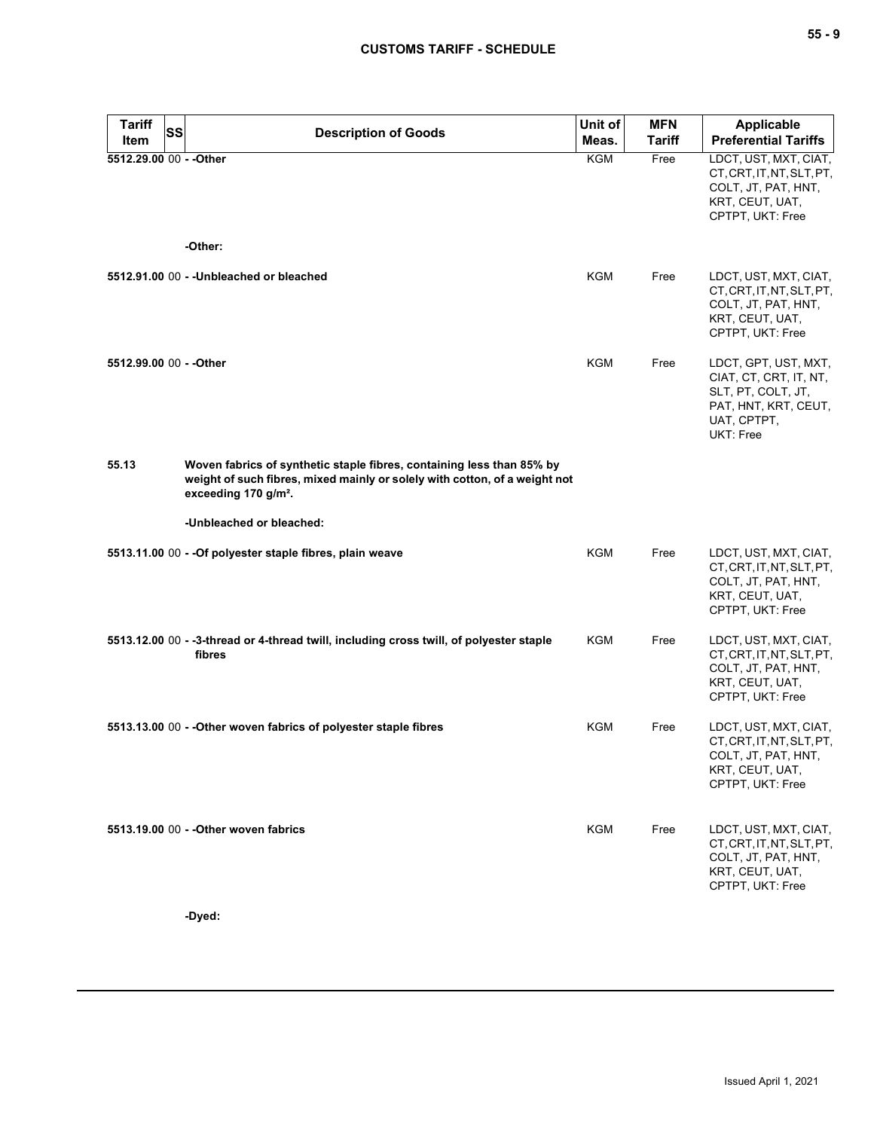| <b>Tariff</b>           | <b>SS</b> | <b>Description of Goods</b>                                                                                                                                                             | Unit of    | <b>MFN</b>    | <b>Applicable</b>                                                                                                        |
|-------------------------|-----------|-----------------------------------------------------------------------------------------------------------------------------------------------------------------------------------------|------------|---------------|--------------------------------------------------------------------------------------------------------------------------|
| Item                    |           |                                                                                                                                                                                         | Meas.      | <b>Tariff</b> | <b>Preferential Tariffs</b>                                                                                              |
| 5512.29.00 00 - - Other |           |                                                                                                                                                                                         | <b>KGM</b> | Free          | LDCT, UST, MXT, CIAT,<br>CT, CRT, IT, NT, SLT, PT,<br>COLT, JT, PAT, HNT,<br>KRT, CEUT, UAT,<br>CPTPT, UKT: Free         |
|                         |           | -Other:                                                                                                                                                                                 |            |               |                                                                                                                          |
|                         |           | 5512.91.00 00 - - Unbleached or bleached                                                                                                                                                | KGM        | Free          | LDCT, UST, MXT, CIAT,<br>CT, CRT, IT, NT, SLT, PT,<br>COLT, JT, PAT, HNT,<br>KRT, CEUT, UAT,<br>CPTPT, UKT: Free         |
| 5512.99.00 00 - - Other |           |                                                                                                                                                                                         | <b>KGM</b> | Free          | LDCT, GPT, UST, MXT,<br>CIAT, CT, CRT, IT, NT,<br>SLT, PT, COLT, JT,<br>PAT, HNT, KRT, CEUT,<br>UAT, CPTPT,<br>UKT: Free |
| 55.13                   |           | Woven fabrics of synthetic staple fibres, containing less than 85% by<br>weight of such fibres, mixed mainly or solely with cotton, of a weight not<br>exceeding 170 g/m <sup>2</sup> . |            |               |                                                                                                                          |
|                         |           | -Unbleached or bleached:                                                                                                                                                                |            |               |                                                                                                                          |
|                         |           | 5513.11.00 00 - - Of polyester staple fibres, plain weave                                                                                                                               | KGM        | Free          | LDCT, UST, MXT, CIAT,<br>CT, CRT, IT, NT, SLT, PT,<br>COLT, JT, PAT, HNT,<br>KRT, CEUT, UAT,<br>CPTPT, UKT: Free         |
|                         |           | 5513.12.00 00 - -3-thread or 4-thread twill, including cross twill, of polyester staple<br>fibres                                                                                       | KGM        | Free          | LDCT, UST, MXT, CIAT,<br>CT, CRT, IT, NT, SLT, PT,<br>COLT, JT, PAT, HNT,<br>KRT, CEUT, UAT,<br>CPTPT, UKT: Free         |
|                         |           | 5513.13.00 00 - - Other woven fabrics of polyester staple fibres                                                                                                                        | KGM        | Free          | LDCT, UST, MXT, CIAT,<br>CT, CRT, IT, NT, SLT, PT,<br>COLT, JT, PAT, HNT,<br>KRT, CEUT, UAT,<br>CPTPT, UKT: Free         |
|                         |           | 5513.19.00 00 - - Other woven fabrics                                                                                                                                                   | <b>KGM</b> | Free          | LDCT, UST, MXT, CIAT,<br>CT, CRT, IT, NT, SLT, PT,<br>COLT, JT, PAT, HNT,<br>KRT, CEUT, UAT,<br>CPTPT, UKT: Free         |

**-Dyed:**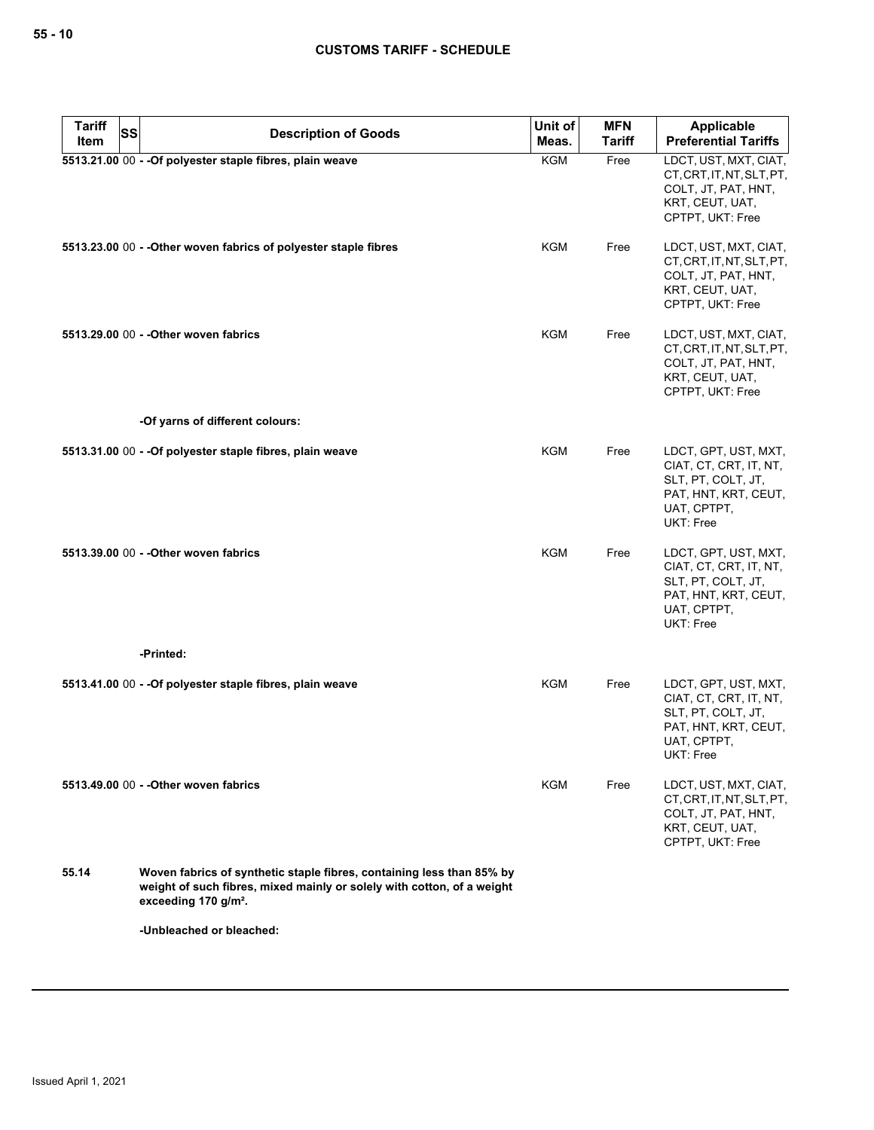| <b>Tariff</b> | <b>SS</b><br><b>Description of Goods</b>                                                                                                                                            | Unit of    | <b>MFN</b>    | <b>Applicable</b>                                                                                                        |
|---------------|-------------------------------------------------------------------------------------------------------------------------------------------------------------------------------------|------------|---------------|--------------------------------------------------------------------------------------------------------------------------|
| Item          |                                                                                                                                                                                     | Meas.      | <b>Tariff</b> | <b>Preferential Tariffs</b>                                                                                              |
|               | 5513.21.00 00 - - Of polyester staple fibres, plain weave                                                                                                                           | <b>KGM</b> | Free          | LDCT, UST, MXT, CIAT,<br>CT, CRT, IT, NT, SLT, PT,<br>COLT, JT, PAT, HNT,<br>KRT, CEUT, UAT,<br>CPTPT, UKT: Free         |
|               | 5513.23.00 00 - - Other woven fabrics of polyester staple fibres                                                                                                                    | KGM        | Free          | LDCT, UST, MXT, CIAT,<br>CT, CRT, IT, NT, SLT, PT,<br>COLT, JT, PAT, HNT,<br>KRT, CEUT, UAT,<br>CPTPT, UKT: Free         |
|               | 5513.29.00 00 - - Other woven fabrics                                                                                                                                               | KGM        | Free          | LDCT, UST, MXT, CIAT,<br>CT, CRT, IT, NT, SLT, PT,<br>COLT, JT, PAT, HNT,<br>KRT, CEUT, UAT,<br>CPTPT, UKT: Free         |
|               | -Of yarns of different colours:                                                                                                                                                     |            |               |                                                                                                                          |
|               | 5513.31.00 00 - - Of polyester staple fibres, plain weave                                                                                                                           | KGM        | Free          | LDCT, GPT, UST, MXT,<br>CIAT, CT, CRT, IT, NT,<br>SLT, PT, COLT, JT,<br>PAT, HNT, KRT, CEUT,<br>UAT, CPTPT,<br>UKT: Free |
|               | 5513.39.00 00 - - Other woven fabrics                                                                                                                                               | KGM        | Free          | LDCT, GPT, UST, MXT,<br>CIAT, CT, CRT, IT, NT,<br>SLT, PT, COLT, JT,<br>PAT, HNT, KRT, CEUT,<br>UAT, CPTPT,<br>UKT: Free |
|               | -Printed:                                                                                                                                                                           |            |               |                                                                                                                          |
|               | 5513.41.00 00 - - Of polyester staple fibres, plain weave                                                                                                                           | KGM        | Free          | LDCT, GPT, UST, MXT,<br>CIAT, CT, CRT, IT, NT,<br>SLT, PT, COLT, JT,<br>PAT, HNT, KRT, CEUT,<br>UAT, CPTPT,<br>UKT: Free |
|               | 5513.49.00 00 - - Other woven fabrics                                                                                                                                               | KGM        | Free          | LDCT, UST, MXT, CIAT,<br>CT, CRT, IT, NT, SLT, PT,<br>COLT, JT, PAT, HNT,<br>KRT, CEUT, UAT,<br>CPTPT, UKT: Free         |
| 55.14         | Woven fabrics of synthetic staple fibres, containing less than 85% by<br>weight of such fibres, mixed mainly or solely with cotton, of a weight<br>exceeding 170 g/m <sup>2</sup> . |            |               |                                                                                                                          |
|               | -Unbleached or bleached:                                                                                                                                                            |            |               |                                                                                                                          |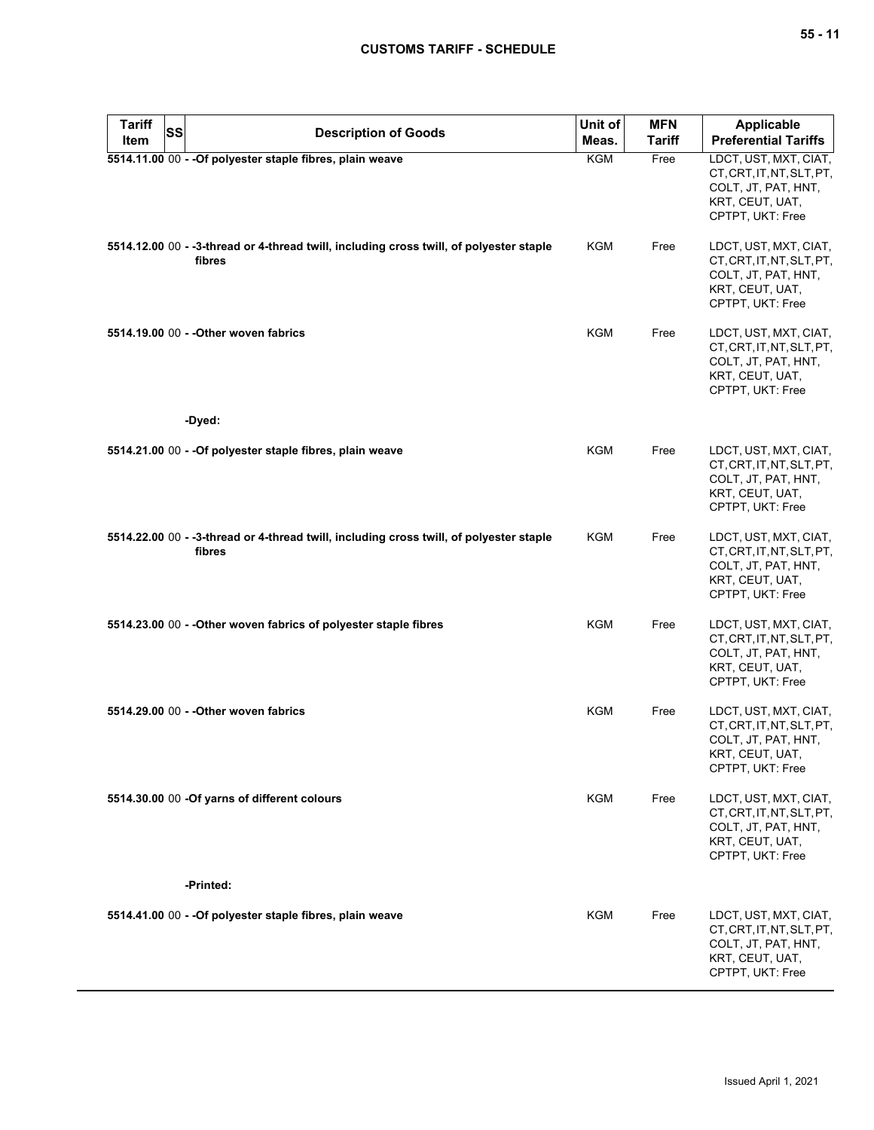| <b>Tariff</b><br><b>SS</b><br>Item | <b>Description of Goods</b>                                                                       | Unit of<br>Meas. | <b>MFN</b><br><b>Tariff</b> | <b>Applicable</b><br><b>Preferential Tariffs</b>                                                                 |
|------------------------------------|---------------------------------------------------------------------------------------------------|------------------|-----------------------------|------------------------------------------------------------------------------------------------------------------|
|                                    | 5514.11.00 00 - - Of polyester staple fibres, plain weave                                         | KGM              | Free                        | LDCT, UST, MXT, CIAT,<br>CT, CRT, IT, NT, SLT, PT,<br>COLT, JT, PAT, HNT,<br>KRT, CEUT, UAT,<br>CPTPT, UKT: Free |
|                                    | 5514.12.00 00 - -3-thread or 4-thread twill, including cross twill, of polyester staple<br>fibres | KGM              | Free                        | LDCT, UST, MXT, CIAT,<br>CT, CRT, IT, NT, SLT, PT,<br>COLT, JT, PAT, HNT,<br>KRT, CEUT, UAT,<br>CPTPT, UKT: Free |
|                                    | 5514.19.00 00 - - Other woven fabrics                                                             | <b>KGM</b>       | Free                        | LDCT, UST, MXT, CIAT,<br>CT, CRT, IT, NT, SLT, PT,<br>COLT, JT, PAT, HNT,<br>KRT, CEUT, UAT,<br>CPTPT, UKT: Free |
|                                    | -Dyed:                                                                                            |                  |                             |                                                                                                                  |
|                                    | 5514.21.00 00 - - Of polyester staple fibres, plain weave                                         | <b>KGM</b>       | Free                        | LDCT, UST, MXT, CIAT,<br>CT.CRT.IT.NT.SLT.PT.<br>COLT, JT, PAT, HNT,<br>KRT, CEUT, UAT,<br>CPTPT, UKT: Free      |
|                                    | 5514.22.00 00 - -3-thread or 4-thread twill, including cross twill, of polyester staple<br>fibres | KGM              | Free                        | LDCT, UST, MXT, CIAT,<br>CT, CRT, IT, NT, SLT, PT,<br>COLT, JT, PAT, HNT,<br>KRT, CEUT, UAT,<br>CPTPT, UKT: Free |
|                                    | 5514.23.00 00 - - Other woven fabrics of polyester staple fibres                                  | <b>KGM</b>       | Free                        | LDCT, UST, MXT, CIAT,<br>CT, CRT, IT, NT, SLT, PT,<br>COLT, JT, PAT, HNT,<br>KRT, CEUT, UAT,<br>CPTPT, UKT: Free |
|                                    | 5514.29.00 00 - - Other woven fabrics                                                             | <b>KGM</b>       | Free                        | LDCT, UST, MXT, CIAT,<br>CT, CRT, IT, NT, SLT, PT,<br>COLT, JT, PAT, HNT,<br>KRT, CEUT, UAT,<br>CPTPT, UKT: Free |
|                                    | 5514.30.00 00 -Of yarns of different colours                                                      | <b>KGM</b>       | Free                        | LDCT, UST, MXT, CIAT,<br>CT, CRT, IT, NT, SLT, PT,<br>COLT, JT, PAT, HNT,<br>KRT, CEUT, UAT,<br>CPTPT, UKT: Free |
|                                    | -Printed:                                                                                         |                  |                             |                                                                                                                  |
|                                    | 5514.41.00 00 - - Of polyester staple fibres, plain weave                                         | KGM              | Free                        | LDCT, UST, MXT, CIAT,<br>CT, CRT, IT, NT, SLT, PT,<br>COLT, JT, PAT, HNT,<br>KRT, CEUT, UAT,<br>CPTPT, UKT: Free |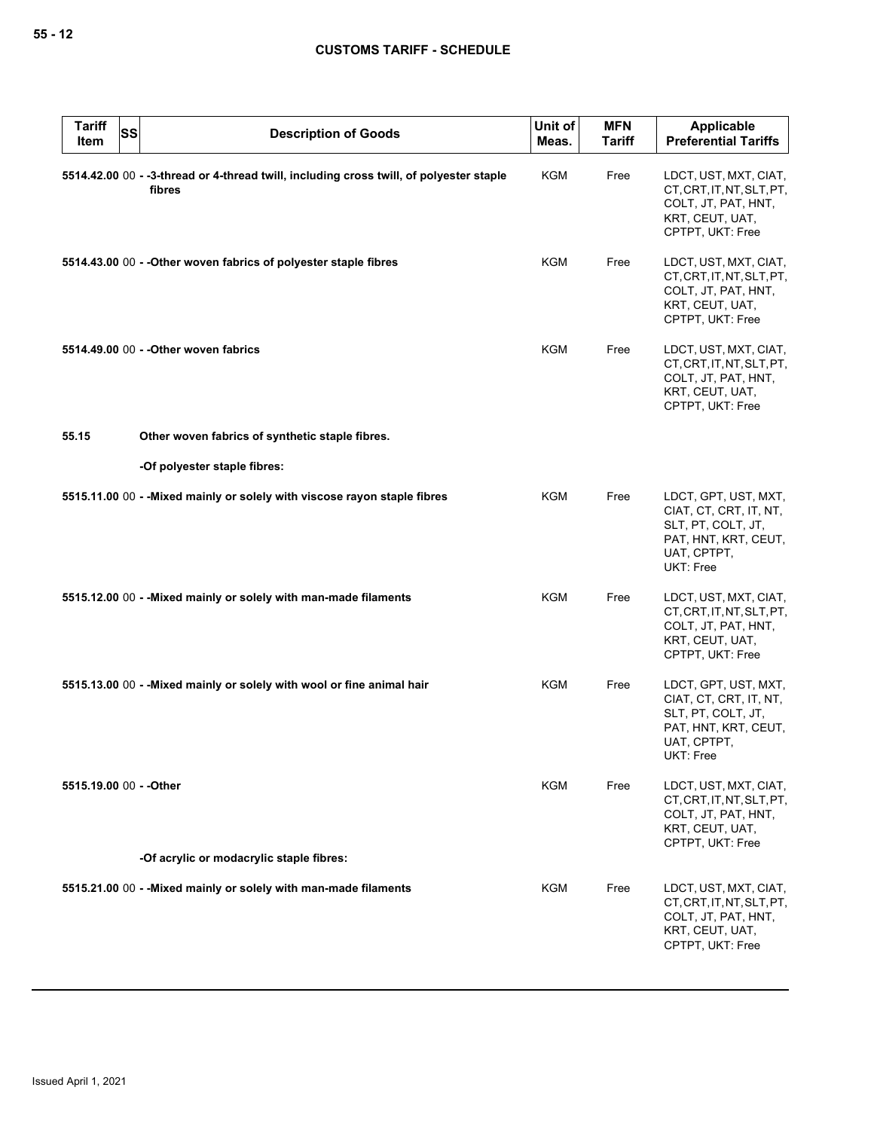| <b>Tariff</b><br><b>SS</b><br>Item | <b>Description of Goods</b>                                                                       | Unit of<br>Meas. | <b>MFN</b><br><b>Tariff</b> | <b>Applicable</b><br><b>Preferential Tariffs</b>                                                                         |
|------------------------------------|---------------------------------------------------------------------------------------------------|------------------|-----------------------------|--------------------------------------------------------------------------------------------------------------------------|
|                                    | 5514.42.00 00 - -3-thread or 4-thread twill, including cross twill, of polyester staple<br>fibres | <b>KGM</b>       | Free                        | LDCT, UST, MXT, CIAT,<br>CT, CRT, IT, NT, SLT, PT,<br>COLT, JT, PAT, HNT,<br>KRT, CEUT, UAT,<br>CPTPT, UKT: Free         |
|                                    | 5514.43.00 00 - - Other woven fabrics of polyester staple fibres                                  | KGM              | Free                        | LDCT, UST, MXT, CIAT,<br>CT, CRT, IT, NT, SLT, PT,<br>COLT, JT, PAT, HNT,<br>KRT, CEUT, UAT,<br>CPTPT, UKT: Free         |
|                                    | 5514.49.00 00 - - Other woven fabrics                                                             | KGM              | Free                        | LDCT, UST, MXT, CIAT,<br>CT, CRT, IT, NT, SLT, PT,<br>COLT, JT, PAT, HNT,<br>KRT, CEUT, UAT,<br>CPTPT, UKT: Free         |
| 55.15                              | Other woven fabrics of synthetic staple fibres.                                                   |                  |                             |                                                                                                                          |
|                                    | -Of polyester staple fibres:                                                                      |                  |                             |                                                                                                                          |
|                                    | 5515.11.00 00 - - Mixed mainly or solely with viscose rayon staple fibres                         | KGM              | Free                        | LDCT, GPT, UST, MXT,<br>CIAT, CT, CRT, IT, NT,<br>SLT, PT, COLT, JT,<br>PAT, HNT, KRT, CEUT,<br>UAT, CPTPT,<br>UKT: Free |
|                                    | 5515.12.00 00 - - Mixed mainly or solely with man-made filaments                                  | KGM              | Free                        | LDCT, UST, MXT, CIAT,<br>CT, CRT, IT, NT, SLT, PT,<br>COLT, JT, PAT, HNT,<br>KRT, CEUT, UAT,<br>CPTPT, UKT: Free         |
|                                    | 5515.13.00 00 - - Mixed mainly or solely with wool or fine animal hair                            | <b>KGM</b>       | Free                        | LDCT, GPT, UST, MXT,<br>CIAT, CT, CRT, IT, NT,<br>SLT, PT, COLT, JT,<br>PAT, HNT, KRT, CEUT,<br>UAT, CPTPT,<br>UKT: Free |
| 5515.19.00 00 - - Other            |                                                                                                   | KGM              | Free                        | LDCT, UST, MXT, CIAT,<br>CT, CRT, IT, NT, SLT, PT,<br>COLT, JT, PAT, HNT,<br>KRT, CEUT, UAT,<br>CPTPT, UKT: Free         |
|                                    | -Of acrylic or modacrylic staple fibres:                                                          |                  |                             |                                                                                                                          |
|                                    | 5515.21.00 00 - - Mixed mainly or solely with man-made filaments                                  | KGM              | Free                        | LDCT, UST, MXT, CIAT,<br>CT, CRT, IT, NT, SLT, PT,<br>COLT, JT, PAT, HNT,<br>KRT, CEUT, UAT,<br>CPTPT, UKT: Free         |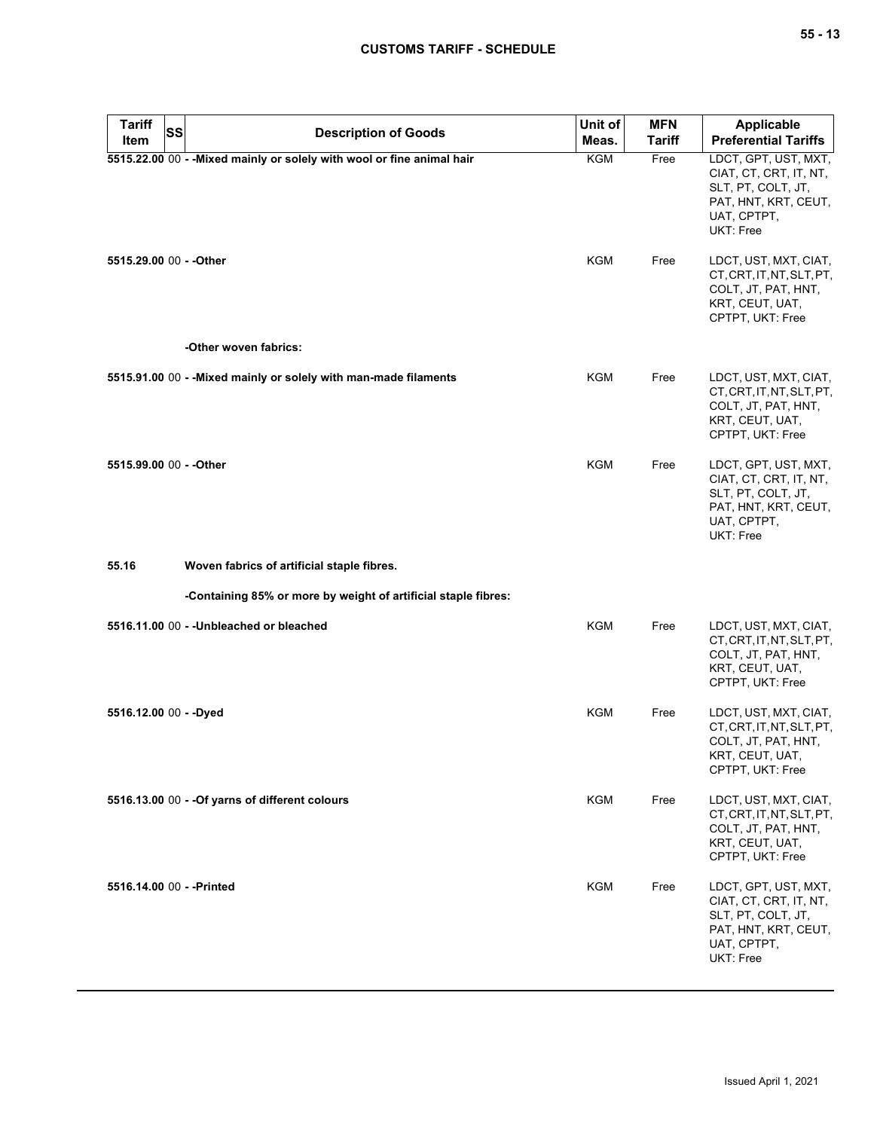| <b>Tariff</b><br>Item   | SS<br><b>Description of Goods</b>                                      | Unit of<br>Meas. | <b>MFN</b><br>Tariff | <b>Applicable</b><br><b>Preferential Tariffs</b>                                                                         |
|-------------------------|------------------------------------------------------------------------|------------------|----------------------|--------------------------------------------------------------------------------------------------------------------------|
|                         | 5515.22.00 00 - - Mixed mainly or solely with wool or fine animal hair | <b>KGM</b>       | Free                 | LDCT, GPT, UST, MXT,<br>CIAT, CT, CRT, IT, NT,<br>SLT, PT, COLT, JT,<br>PAT, HNT, KRT, CEUT,<br>UAT, CPTPT,<br>UKT: Free |
| 5515.29.00 00 - - Other |                                                                        | <b>KGM</b>       | Free                 | LDCT, UST, MXT, CIAT,<br>CT, CRT, IT, NT, SLT, PT,<br>COLT, JT, PAT, HNT,<br>KRT, CEUT, UAT,<br>CPTPT, UKT: Free         |
|                         | -Other woven fabrics:                                                  |                  |                      |                                                                                                                          |
|                         | 5515.91.00 00 - - Mixed mainly or solely with man-made filaments       | KGM              | Free                 | LDCT, UST, MXT, CIAT,<br>CT, CRT, IT, NT, SLT, PT,<br>COLT, JT, PAT, HNT,<br>KRT, CEUT, UAT,<br>CPTPT, UKT: Free         |
| 5515.99.00 00 - - Other |                                                                        | KGM              | Free                 | LDCT, GPT, UST, MXT,<br>CIAT, CT, CRT, IT, NT,<br>SLT, PT, COLT, JT,<br>PAT, HNT, KRT, CEUT,<br>UAT, CPTPT,<br>UKT: Free |
| 55.16                   | Woven fabrics of artificial staple fibres.                             |                  |                      |                                                                                                                          |
|                         | -Containing 85% or more by weight of artificial staple fibres:         |                  |                      |                                                                                                                          |
|                         | 5516.11.00 00 - - Unbleached or bleached                               | <b>KGM</b>       | Free                 | LDCT, UST, MXT, CIAT,<br>CT, CRT, IT, NT, SLT, PT,<br>COLT, JT, PAT, HNT,<br>KRT, CEUT, UAT,<br>CPTPT, UKT: Free         |
| 5516.12.00 00 - - Dyed  |                                                                        | <b>KGM</b>       | Free                 | LDCT, UST, MXT, CIAT,<br>CT, CRT, IT, NT, SLT, PT,<br>COLT, JT, PAT, HNT,<br>KRT, CEUT, UAT,<br>CPTPT, UKT: Free         |
|                         | 5516.13.00 00 - - Of yarns of different colours                        | <b>KGM</b>       | Free                 | LDCT, UST, MXT, CIAT,<br>CT, CRT, IT, NT, SLT, PT,<br>COLT, JT, PAT, HNT,<br>KRT, CEUT, UAT,<br>CPTPT, UKT: Free         |
|                         | 5516.14.00 00 - - Printed                                              | KGM              | Free                 | LDCT, GPT, UST, MXT,<br>CIAT, CT, CRT, IT, NT,<br>SLT, PT, COLT, JT,<br>PAT, HNT, KRT, CEUT,<br>UAT, CPTPT,<br>UKT: Free |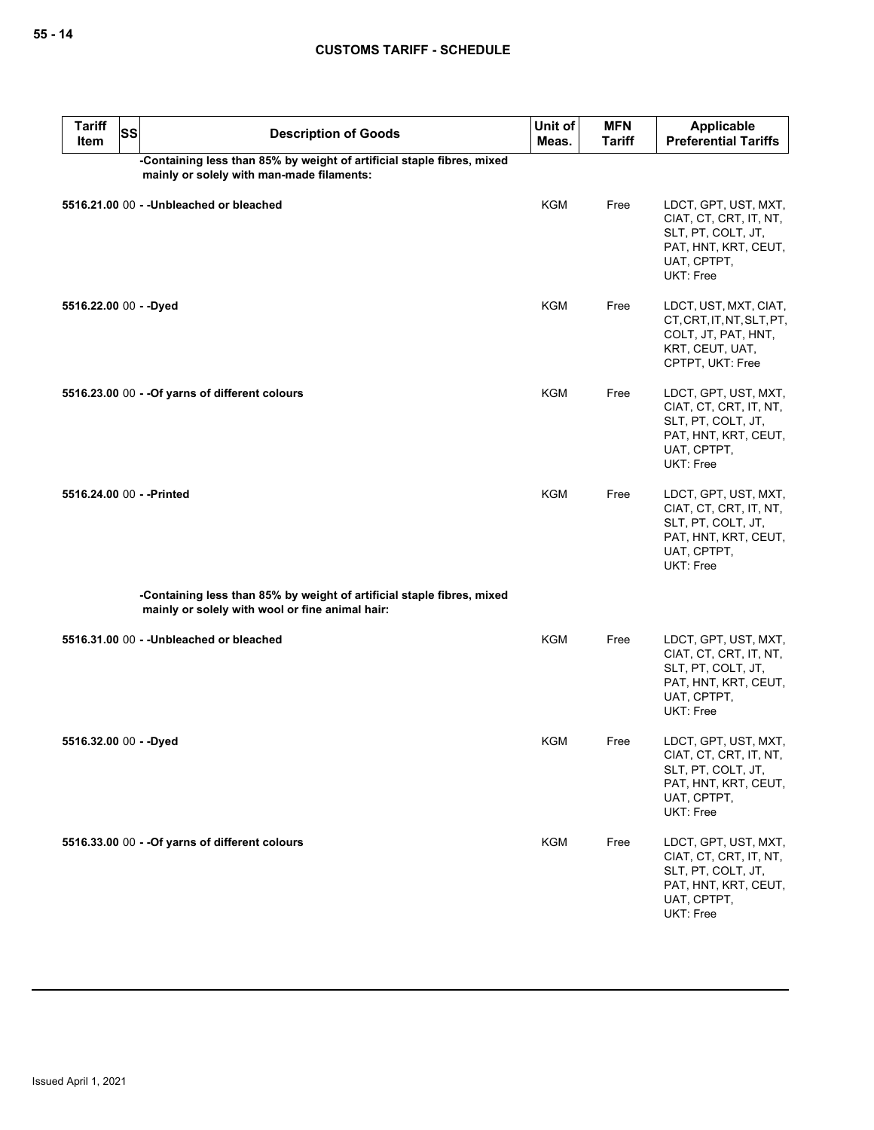| <b>Tariff</b><br>Item                                                                                               | SS | <b>Description of Goods</b>                                                                                               | Unit of<br>Meas. | <b>MFN</b><br><b>Tariff</b> | <b>Applicable</b><br><b>Preferential Tariffs</b>                                                                         |  |
|---------------------------------------------------------------------------------------------------------------------|----|---------------------------------------------------------------------------------------------------------------------------|------------------|-----------------------------|--------------------------------------------------------------------------------------------------------------------------|--|
| -Containing less than 85% by weight of artificial staple fibres, mixed<br>mainly or solely with man-made filaments: |    |                                                                                                                           |                  |                             |                                                                                                                          |  |
|                                                                                                                     |    | 5516.21.00 00 - - Unbleached or bleached                                                                                  | <b>KGM</b>       | Free                        | LDCT, GPT, UST, MXT,<br>CIAT, CT, CRT, IT, NT,<br>SLT, PT, COLT, JT,<br>PAT, HNT, KRT, CEUT,<br>UAT, CPTPT,<br>UKT: Free |  |
| 5516.22.00 00 - - Dyed                                                                                              |    |                                                                                                                           | <b>KGM</b>       | Free                        | LDCT, UST, MXT, CIAT,<br>CT, CRT, IT, NT, SLT, PT,<br>COLT, JT, PAT, HNT,<br>KRT, CEUT, UAT,<br>CPTPT, UKT: Free         |  |
|                                                                                                                     |    | 5516.23.00 00 - - Of yarns of different colours                                                                           | KGM              | Free                        | LDCT, GPT, UST, MXT,<br>CIAT, CT, CRT, IT, NT,<br>SLT, PT, COLT, JT,<br>PAT, HNT, KRT, CEUT,<br>UAT, CPTPT,<br>UKT: Free |  |
| 5516.24.00 00 - - Printed                                                                                           |    |                                                                                                                           | <b>KGM</b>       | Free                        | LDCT, GPT, UST, MXT,<br>CIAT, CT, CRT, IT, NT,<br>SLT, PT, COLT, JT,<br>PAT, HNT, KRT, CEUT,<br>UAT, CPTPT,<br>UKT: Free |  |
|                                                                                                                     |    | -Containing less than 85% by weight of artificial staple fibres, mixed<br>mainly or solely with wool or fine animal hair: |                  |                             |                                                                                                                          |  |
|                                                                                                                     |    | 5516.31.00 00 - - Unbleached or bleached                                                                                  | <b>KGM</b>       | Free                        | LDCT, GPT, UST, MXT,<br>CIAT, CT, CRT, IT, NT,<br>SLT, PT, COLT, JT,<br>PAT, HNT, KRT, CEUT,<br>UAT, CPTPT,<br>UKT: Free |  |
| 5516.32.00 00 - -Dyed                                                                                               |    |                                                                                                                           | KGM              | Free                        | LDCT, GPT, UST, MXT,<br>CIAT, CT, CRT, IT, NT,<br>SLT, PT, COLT, JT,<br>PAT, HNT, KRT, CEUT,<br>UAT, CPTPT,<br>UKT: Free |  |
|                                                                                                                     |    | 5516.33.00 00 - - Of yarns of different colours                                                                           | KGM              | Free                        | LDCT, GPT, UST, MXT,<br>CIAT, CT, CRT, IT, NT,<br>SLT, PT, COLT, JT,<br>PAT, HNT, KRT, CEUT,<br>UAT, CPTPT,<br>UKT: Free |  |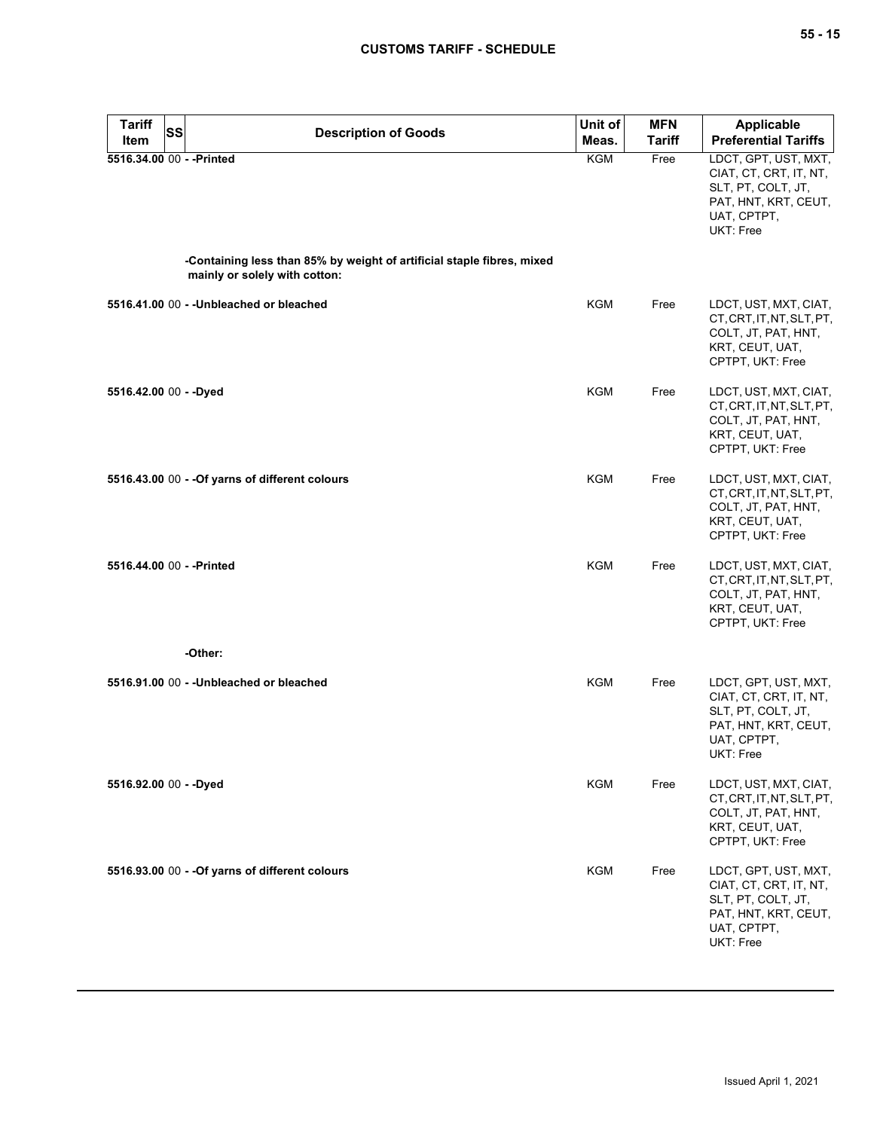| <b>Tariff</b>             | <b>SS</b> | <b>Description of Goods</b>                                                                             | Unit of    | <b>MFN</b>    | Applicable                                                                                                               |
|---------------------------|-----------|---------------------------------------------------------------------------------------------------------|------------|---------------|--------------------------------------------------------------------------------------------------------------------------|
| Item                      |           |                                                                                                         | Meas.      | <b>Tariff</b> | <b>Preferential Tariffs</b>                                                                                              |
| 5516.34.00 00 - - Printed |           |                                                                                                         | KGM        | Free          | LDCT, GPT, UST, MXT,<br>CIAT, CT, CRT, IT, NT,<br>SLT, PT, COLT, JT,<br>PAT, HNT, KRT, CEUT,<br>UAT, CPTPT,<br>UKT: Free |
|                           |           | -Containing less than 85% by weight of artificial staple fibres, mixed<br>mainly or solely with cotton: |            |               |                                                                                                                          |
|                           |           | 5516.41.00 00 - - Unbleached or bleached                                                                | <b>KGM</b> | Free          | LDCT, UST, MXT, CIAT,<br>CT, CRT, IT, NT, SLT, PT,<br>COLT, JT, PAT, HNT,<br>KRT, CEUT, UAT,<br>CPTPT, UKT: Free         |
| 5516.42.00 00 - - Dyed    |           |                                                                                                         | <b>KGM</b> | Free          | LDCT, UST, MXT, CIAT,<br>CT, CRT, IT, NT, SLT, PT,<br>COLT, JT, PAT, HNT,<br>KRT, CEUT, UAT,<br>CPTPT, UKT: Free         |
|                           |           | 5516.43.00 00 - - Of yarns of different colours                                                         | KGM        | Free          | LDCT, UST, MXT, CIAT,<br>CT, CRT, IT, NT, SLT, PT,<br>COLT, JT, PAT, HNT,<br>KRT, CEUT, UAT,<br>CPTPT, UKT: Free         |
| 5516.44.00 00 - - Printed |           |                                                                                                         | <b>KGM</b> | Free          | LDCT, UST, MXT, CIAT,<br>CT, CRT, IT, NT, SLT, PT,<br>COLT, JT, PAT, HNT,<br>KRT, CEUT, UAT,<br>CPTPT, UKT: Free         |
|                           |           | -Other:                                                                                                 |            |               |                                                                                                                          |
|                           |           | 5516.91.00 00 - - Unbleached or bleached                                                                | <b>KGM</b> | Free          | LDCT, GPT, UST, MXT,<br>CIAT, CT, CRT, IT, NT,<br>SLT, PT, COLT, JT,<br>PAT, HNT, KRT, CEUT,<br>UAT, CPTPT,<br>UKT: Free |
| 5516.92.00 00 - - Dyed    |           |                                                                                                         | <b>KGM</b> | Free          | LDCT, UST, MXT, CIAT,<br>CT, CRT, IT, NT, SLT, PT,<br>COLT, JT, PAT, HNT,<br>KRT, CEUT, UAT,<br>CPTPT, UKT: Free         |
|                           |           | 5516.93.00 00 - - Of yarns of different colours                                                         | KGM        | Free          | LDCT, GPT, UST, MXT,<br>CIAT, CT, CRT, IT, NT,<br>SLT, PT, COLT, JT,<br>PAT, HNT, KRT, CEUT,<br>UAT, CPTPT,<br>UKT: Free |